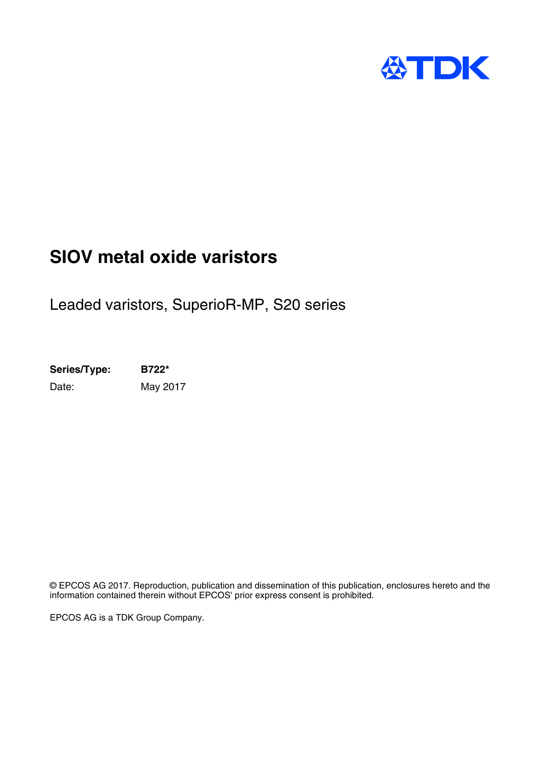

## **SIOV metal oxide varistors**

Leaded varistors, SuperioR-MP, S20 series

**Series/Type: B722\*** Date: May 2017

© EPCOS AG 2017. Reproduction, publication and dissemination of this publication, enclosures hereto and the information contained therein without EPCOS' prior express consent is prohibited.

EPCOS AG is a TDK Group Company.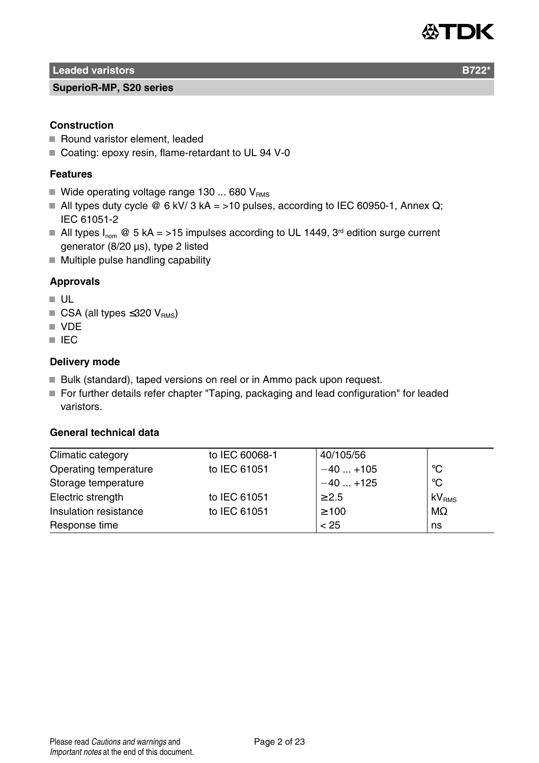

**Leaded varistors B722** 

#### **SuperioR-MP, S20 series**

#### **Construction**

- Round varistor element, leaded
- Coating: epoxy resin, flame-retardant to UL 94 V-0

#### **Features**

- Wide operating voltage range 130 ... 680  $V_{BMS}$
- All types duty cycle  $\textcircled{e}$  6 kV/ 3 kA = >10 pulses, according to IEC 60950-1, Annex Q; IEC 61051-2
- All types  $I_{\text{nom}} \otimes 5$  kA = >15 impulses according to UL 1449, 3<sup>rd</sup> edition surge current generator (8/20 µs), type 2 listed
- $\blacksquare$  Multiple pulse handling capability

#### **Approvals**

- UL
- $\blacksquare$  CSA (all types ≤320 V<sub>BMS</sub>)
- **N** VDF
- **IEC**

#### **Delivery mode**

- Bulk (standard), taped versions on reel or in Ammo pack upon request.
- For further details refer chapter "Taping, packaging and lead configuration" for leaded varistors.

#### **General technical data**

| Climatic category     | to IEC 60068-1 | 40/105/56  |                   |
|-----------------------|----------------|------------|-------------------|
| Operating temperature | to IEC 61051   | $-40+105$  | °C                |
| Storage temperature   |                | $-40+125$  | $^{\circ}$ C      |
| Electric strength     | to IEC 61051   | $\geq 2.5$ | kV <sub>RMS</sub> |
| Insulation resistance | to IEC 61051   | $\geq 100$ | $M\Omega$         |
| Response time         |                | < 25       | ns                |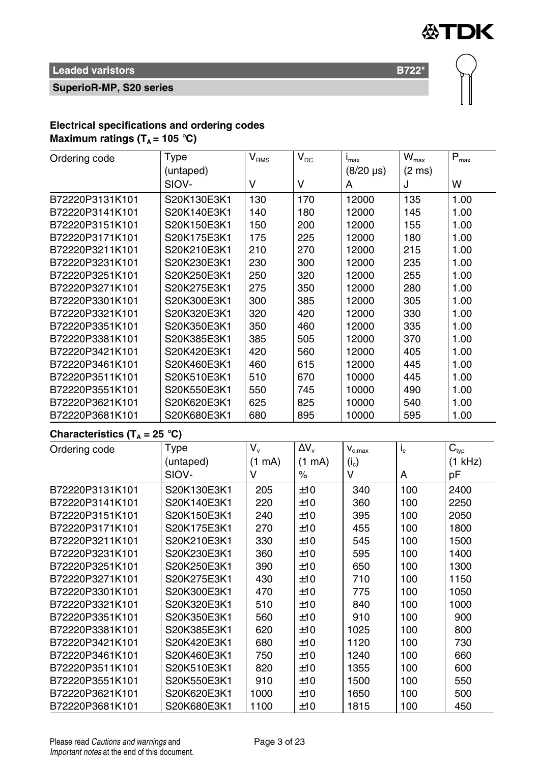

**SuperioR-MP, S20 series**

#### **Electrical specifications and ordering codes Maximum ratings**  $(T_A = 105 \text{ °C})$

| Ordering code                            | Type        | $\bar{\text{V}}_{\text{RMS}}$        | $\bar{V}_{DC}$ | $i_{max}$        | $\overline{\textbf{W}}_{\text{max}}$ | $\overline{\mathsf{P}}_{\mathsf{max}}$ |
|------------------------------------------|-------------|--------------------------------------|----------------|------------------|--------------------------------------|----------------------------------------|
|                                          | (untaped)   |                                      |                | $(8/20 \,\mu s)$ | $(2 \text{ ms})$                     |                                        |
|                                          | SIOV-       | V                                    | V              | A                | J                                    | W                                      |
| B72220P3131K101                          | S20K130E3K1 | 130                                  | 170            | 12000            | 135                                  | 1.00                                   |
| B72220P3141K101                          | S20K140E3K1 | 140                                  | 180            | 12000            | 145                                  | 1.00                                   |
| B72220P3151K101                          | S20K150E3K1 | 150                                  | 200            | 12000            | 155                                  | 1.00                                   |
| B72220P3171K101                          | S20K175E3K1 | 175                                  | 225            | 12000            | 180                                  | 1.00                                   |
| B72220P3211K101                          | S20K210E3K1 | 210                                  | 270            | 12000            | 215                                  | 1.00                                   |
| B72220P3231K101                          | S20K230E3K1 | 230                                  | 300            | 12000            | 235                                  | 1.00                                   |
| B72220P3251K101                          | S20K250E3K1 | 250                                  | 320            | 12000            | 255                                  | 1.00                                   |
| B72220P3271K101                          | S20K275E3K1 | 275                                  | 350            | 12000            | 280                                  | 1.00                                   |
| B72220P3301K101                          | S20K300E3K1 | 300                                  | 385            | 12000            | 305                                  | 1.00                                   |
| B72220P3321K101                          | S20K320E3K1 | 320                                  | 420            | 12000            | 330                                  | 1.00                                   |
| B72220P3351K101                          | S20K350E3K1 | 350                                  | 460            | 12000            | 335                                  | 1.00                                   |
| B72220P3381K101                          | S20K385E3K1 | 385                                  | 505            | 12000            | 370                                  | 1.00                                   |
| B72220P3421K101                          | S20K420E3K1 | 420                                  | 560            | 12000            | 405                                  | 1.00                                   |
| B72220P3461K101                          | S20K460E3K1 | 460                                  | 615            | 12000            | 445                                  | 1.00                                   |
| B72220P3511K101                          | S20K510E3K1 | 510                                  | 670            | 10000            | 445                                  | 1.00                                   |
| B72220P3551K101                          | S20K550E3K1 | 550                                  | 745            | 10000            | 490                                  | 1.00                                   |
| B72220P3621K101                          | S20K620E3K1 | 625                                  | 825            | 10000            | 540                                  | 1.00                                   |
| B72220P3681K101                          | S20K680E3K1 | 680                                  | 895            | 10000            | 595                                  | 1.00                                   |
| Characteristics (T <sub>A</sub> = 25 °C) |             |                                      |                |                  |                                      |                                        |
| Ordering code                            | Type        | $\overline{\mathsf{V}_{\mathsf{v}}}$ | $\Delta V_{v}$ | $V_{c,max}$      | $i_{\rm c}$                          | $\mathbf{C}_{\text{typ}}$              |
|                                          | (untaped)   | (1 mA)                               | (1 mA)         | $(i_c)$          |                                      | (1 kHz)                                |
|                                          | SIOV-       | v                                    | $\%$           | v                | A                                    | pF                                     |
| B72220P3131K101                          | S20K130E3K1 | 205                                  | ±10            | 340              | 100                                  | 2400                                   |
| B72220P3141K101                          | S20K140E3K1 | 220                                  | ±10            | 360              | 100                                  | 2250                                   |
| B72220P3151K101                          | S20K150E3K1 | 240                                  | ±10            | 395              | 100                                  | 2050                                   |
| B72220P3171K101                          | S20K175E3K1 | 270                                  | ±10            | 455              | 100                                  | 1800                                   |
| B72220P3211K101                          | S20K210E3K1 | 330                                  | ±10            | 545              | 100                                  | 1500                                   |
| B72220P3231K101                          | S20K230E3K1 | 360                                  | ±10            | 595              | 100                                  | 1400                                   |
| B72220P3251K101                          | S20K250E3K1 | 390                                  | ±10            | 650              | 100                                  | 1300                                   |
| B72220P3271K101                          | S20K275E3K1 | 430                                  | ±10            | 710              | 100                                  | 1150                                   |
| B72220P3301K101                          | S20K300E3K1 | 470                                  | ±10            | 775              | 100                                  | 1050                                   |
| B72220P3321K101                          | S20K320E3K1 | 510                                  | ±10            | 840              | 100                                  | 1000                                   |
| B72220P3351K101                          | S20K350E3K1 | 560                                  | ±10            | 910              | 100                                  | 900                                    |
| B72220P3381K101                          | S20K385E3K1 | 620                                  | ±10            | 1025             | 100                                  | 800                                    |
| B72220P3421K101                          | S20K420E3K1 | 680                                  | ±10            | 1120             | 100                                  | 730                                    |
| B72220P3461K101                          | S20K460E3K1 | 750                                  | ±10            | 1240             | 100                                  | 660                                    |
| B72220P3511K101                          | S20K510E3K1 | 820                                  | ±10            | 1355             | 100                                  | 600                                    |
| B72220P3551K101                          | S20K550E3K1 | 910                                  | ±10            | 1500             | 100                                  | 550                                    |
| B72220P3621K101                          | S20K620E3K1 | 1000                                 | ±10            | 1650             | 100                                  | 500                                    |
| B72220P3681K101                          | S20K680E3K1 | 1100                                 | ±10            | 1815             | 100                                  | 450                                    |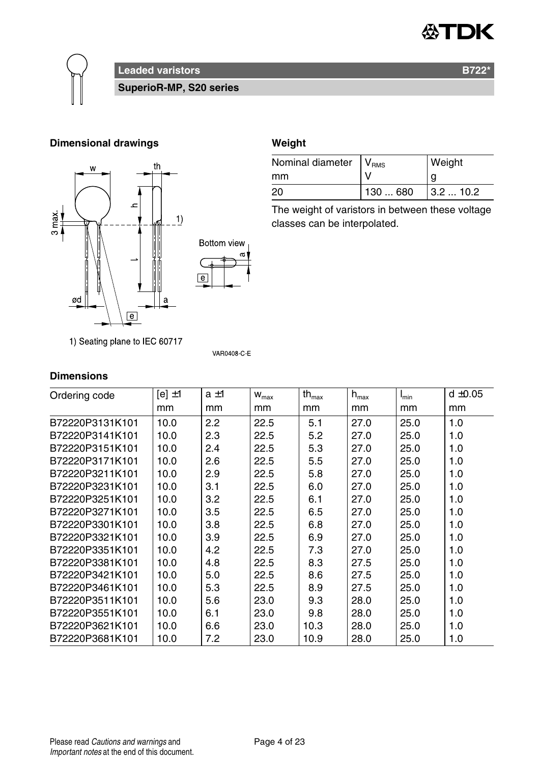



### **Leaded varistors B722<sup>\*</sup> B722<sup>\*</sup>**

**SuperioR-MP, S20 series**

#### **Dimensional drawings Weight**



1) Seating plane to IEC 60717

#### **Dimensions**

| Ordering code   | $[el \pm 1]$ | $a \pm 1$ | $W_{\text{max}}$ | $th_{\text{max}}$ | $h_{\text{max}}$ | $I_{min}$ | $d \pm 0.05$ |
|-----------------|--------------|-----------|------------------|-------------------|------------------|-----------|--------------|
|                 | mm           | mm        | mm               | mm                | mm               | mm        | mm           |
| B72220P3131K101 | 10.0         | 2.2       | 22.5             | 5.1               | 27.0             | 25.0      | 1.0          |
| B72220P3141K101 | 10.0         | 2.3       | 22.5             | 5.2               | 27.0             | 25.0      | 1.0          |
| B72220P3151K101 | 10.0         | 2.4       | 22.5             | 5.3               | 27.0             | 25.0      | 1.0          |
| B72220P3171K101 | 10.0         | 2.6       | 22.5             | 5.5               | 27.0             | 25.0      | 1.0          |
| B72220P3211K101 | 10.0         | 2.9       | 22.5             | 5.8               | 27.0             | 25.0      | 1.0          |
| B72220P3231K101 | 10.0         | 3.1       | 22.5             | 6.0               | 27.0             | 25.0      | 1.0          |
| B72220P3251K101 | 10.0         | 3.2       | 22.5             | 6.1               | 27.0             | 25.0      | 1.0          |
| B72220P3271K101 | 10.0         | 3.5       | 22.5             | 6.5               | 27.0             | 25.0      | 1.0          |
| B72220P3301K101 | 10.0         | 3.8       | 22.5             | 6.8               | 27.0             | 25.0      | 1.0          |
| B72220P3321K101 | 10.0         | 3.9       | 22.5             | 6.9               | 27.0             | 25.0      | 1.0          |
| B72220P3351K101 | 10.0         | 4.2       | 22.5             | 7.3               | 27.0             | 25.0      | 1.0          |
| B72220P3381K101 | 10.0         | 4.8       | 22.5             | 8.3               | 27.5             | 25.0      | 1.0          |
| B72220P3421K101 | 10.0         | 5.0       | 22.5             | 8.6               | 27.5             | 25.0      | 1.0          |
| B72220P3461K101 | 10.0         | 5.3       | 22.5             | 8.9               | 27.5             | 25.0      | 1.0          |
| B72220P3511K101 | 10.0         | 5.6       | 23.0             | 9.3               | 28.0             | 25.0      | 1.0          |
| B72220P3551K101 | 10.0         | 6.1       | 23.0             | 9.8               | 28.0             | 25.0      | 1.0          |
| B72220P3621K101 | 10.0         | 6.6       | 23.0             | 10.3              | 28.0             | 25.0      | 1.0          |
| B72220P3681K101 | 10.0         | 7.2       | 23.0             | 10.9              | 28.0             | 25.0      | 1.0          |

**VAR0408 C E** 

| Nominal diameter   V <sub>RMS</sub> |          | Weight   |
|-------------------------------------|----------|----------|
| mm                                  |          | g        |
| 20                                  | 130  680 | 13.210.2 |

The weight of varistors in between these voltage classes can be interpolated.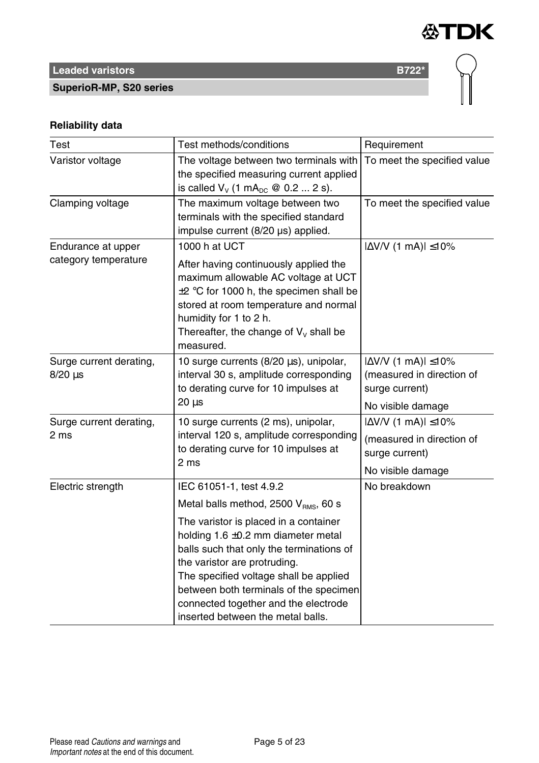

# **Leaded varistors B722<sup>\*</sup>**

**SuperioR-MP, S20 series**

#### **Reliability data**

| Test                                                                                                                                                              | Test methods/conditions                                                                                                                                                                                                                                                                                                       | Requirement                                                                                          |
|-------------------------------------------------------------------------------------------------------------------------------------------------------------------|-------------------------------------------------------------------------------------------------------------------------------------------------------------------------------------------------------------------------------------------------------------------------------------------------------------------------------|------------------------------------------------------------------------------------------------------|
| Varistor voltage                                                                                                                                                  | The voltage between two terminals with<br>the specified measuring current applied<br>is called $V_v$ (1 mA <sub>pc</sub> @ 0.2  2 s).                                                                                                                                                                                         | To meet the specified value                                                                          |
| Clamping voltage                                                                                                                                                  | The maximum voltage between two<br>terminals with the specified standard<br>impulse current (8/20 µs) applied.                                                                                                                                                                                                                | To meet the specified value                                                                          |
| Endurance at upper<br>category temperature                                                                                                                        | 1000 h at UCT<br>After having continuously applied the<br>maximum allowable AC voltage at UCT<br>$\pm 2$ °C for 1000 h, the specimen shall be<br>stored at room temperature and normal<br>humidity for 1 to 2 h.<br>Thereafter, the change of $V_v$ shall be<br>measured.                                                     | $ \Delta$ V/V (1 mA) $ \leq$ 10%                                                                     |
| Surge current derating,<br>$8/20 \,\mu s$                                                                                                                         | 10 surge currents (8/20 µs), unipolar,<br>interval 30 s, amplitude corresponding<br>to derating curve for 10 impulses at<br>$20 \mu s$                                                                                                                                                                                        | $ \Delta$ V/V (1 mA) $ \leq$ 10%<br>(measured in direction of<br>surge current)<br>No visible damage |
| 10 surge currents (2 ms), unipolar,<br>Surge current derating,<br>interval 120 s, amplitude corresponding<br>2 ms<br>to derating curve for 10 impulses at<br>2 ms |                                                                                                                                                                                                                                                                                                                               | $ \Delta$ V/V (1 mA) $ \leq$ 10%<br>(measured in direction of<br>surge current)<br>No visible damage |
| Electric strength                                                                                                                                                 | IEC 61051-1, test 4.9.2<br>Metal balls method, 2500 V <sub>RMS</sub> , 60 s                                                                                                                                                                                                                                                   | No breakdown                                                                                         |
|                                                                                                                                                                   | The varistor is placed in a container<br>holding $1.6 \pm 0.2$ mm diameter metal<br>balls such that only the terminations of<br>the varistor are protruding.<br>The specified voltage shall be applied<br>between both terminals of the specimen<br>connected together and the electrode<br>inserted between the metal balls. |                                                                                                      |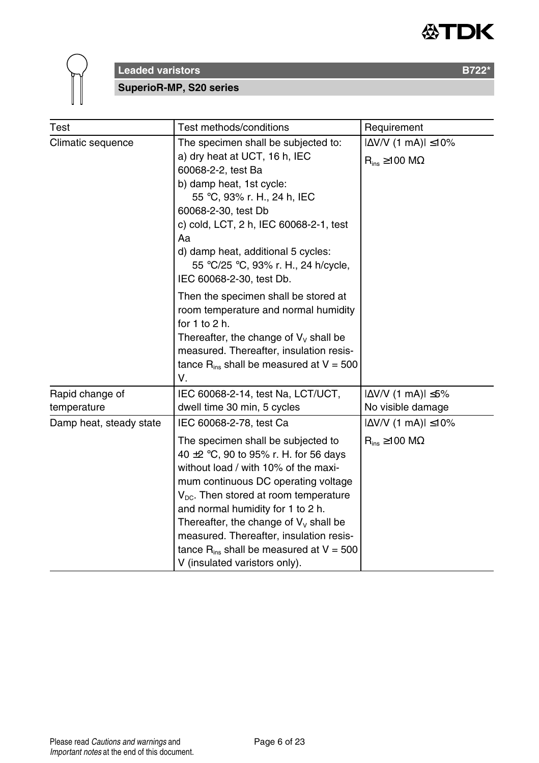



**SuperioR-MP, S20 series**

| Test                           | Test methods/conditions                                                                                                                                                                                                                                                                                                                                                                                                                                        | Requirement                                                   |
|--------------------------------|----------------------------------------------------------------------------------------------------------------------------------------------------------------------------------------------------------------------------------------------------------------------------------------------------------------------------------------------------------------------------------------------------------------------------------------------------------------|---------------------------------------------------------------|
| Climatic sequence              | The specimen shall be subjected to:<br>a) dry heat at UCT, 16 h, IEC<br>60068-2-2, test Ba<br>b) damp heat, 1st cycle:<br>55 °C, 93% r. H., 24 h, IEC<br>60068-2-30, test Db<br>c) cold, LCT, 2 h, IEC 60068-2-1, test<br>Aa<br>d) damp heat, additional 5 cycles:<br>55 °C/25 °C, 93% r. H., 24 h/cycle,<br>IEC 60068-2-30, test Db.                                                                                                                          | l∆V/V (1 mA)l ≤10%<br>$R_{ins} \ge 100 M\Omega$               |
|                                | Then the specimen shall be stored at<br>room temperature and normal humidity<br>for $1$ to $2$ h.<br>Thereafter, the change of $V_v$ shall be<br>measured. Thereafter, insulation resis-<br>tance $R_{ins}$ shall be measured at $V = 500$<br>٧.                                                                                                                                                                                                               |                                                               |
| Rapid change of<br>temperature | IEC 60068-2-14, test Na, LCT/UCT,<br>dwell time 30 min, 5 cycles                                                                                                                                                                                                                                                                                                                                                                                               | $ \Delta V/V$ (1 mA) $ \leq 5\%$<br>No visible damage         |
| Damp heat, steady state        | IEC 60068-2-78, test Ca<br>The specimen shall be subjected to<br>40 $\pm$ 2 °C, 90 to 95% r. H. for 56 days<br>without load / with 10% of the maxi-<br>mum continuous DC operating voltage<br>$V_{\text{DC}}$ . Then stored at room temperature<br>and normal humidity for 1 to 2 h.<br>Thereafter, the change of $V_v$ shall be<br>measured. Thereafter, insulation resis-<br>tance $R_{ins}$ shall be measured at $V = 500$<br>V (insulated varistors only). | $ \Delta$ V/V (1 mA) $ \leq$ 10%<br>$R_{ins} \ge 100 M\Omega$ |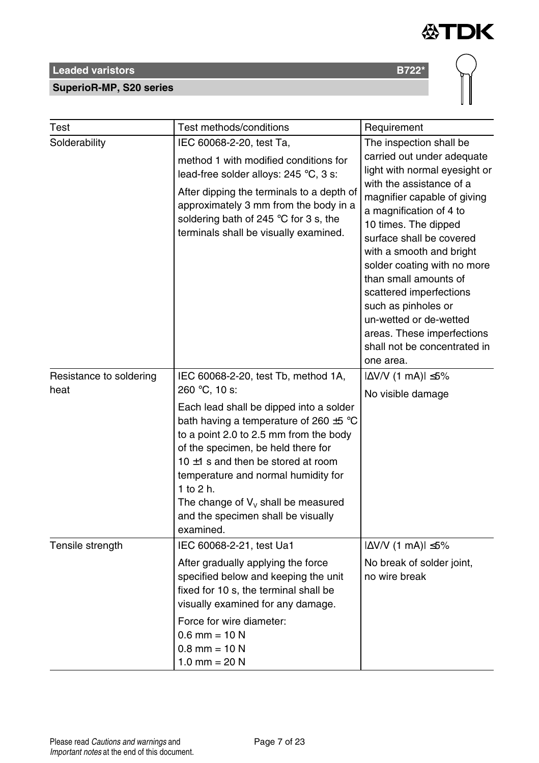#### **SuperioR-MP, S20 series**

| Test                            | Test methods/conditions                                                                                                                                                                                                                                                                                                                                                                                                      | Requirement                                                                                                                                                                                                                                                                                                                                                                                                                                                    |  |
|---------------------------------|------------------------------------------------------------------------------------------------------------------------------------------------------------------------------------------------------------------------------------------------------------------------------------------------------------------------------------------------------------------------------------------------------------------------------|----------------------------------------------------------------------------------------------------------------------------------------------------------------------------------------------------------------------------------------------------------------------------------------------------------------------------------------------------------------------------------------------------------------------------------------------------------------|--|
| Solderability                   | IEC 60068-2-20, test Ta,<br>method 1 with modified conditions for<br>lead-free solder alloys: 245 °C, 3 s:<br>After dipping the terminals to a depth of<br>approximately 3 mm from the body in a<br>soldering bath of 245 $\degree$ C for 3 s, the<br>terminals shall be visually examined.                                                                                                                                  | The inspection shall be<br>carried out under adequate<br>light with normal eyesight or<br>with the assistance of a<br>magnifier capable of giving<br>a magnification of 4 to<br>10 times. The dipped<br>surface shall be covered<br>with a smooth and bright<br>solder coating with no more<br>than small amounts of<br>scattered imperfections<br>such as pinholes or<br>un-wetted or de-wetted<br>areas. These imperfections<br>shall not be concentrated in |  |
| Resistance to soldering<br>heat | IEC 60068-2-20, test Tb, method 1A,<br>260 °C, 10 s:<br>Each lead shall be dipped into a solder<br>bath having a temperature of 260 $\pm$ 5 °C<br>to a point 2.0 to 2.5 mm from the body<br>of the specimen, be held there for<br>10 $\pm$ 1 s and then be stored at room<br>temperature and normal humidity for<br>1 to $2 h$ .<br>The change of $V_v$ shall be measured<br>and the specimen shall be visually<br>examined. | $ \Delta V/V$ (1 mA) $ \leq 5\%$<br>No visible damage                                                                                                                                                                                                                                                                                                                                                                                                          |  |
| Tensile strength                | IEC 60068-2-21, test Ua1<br>After gradually applying the force<br>specified below and keeping the unit<br>fixed for 10 s, the terminal shall be<br>visually examined for any damage.<br>Force for wire diameter:<br>0.6 mm = 10 N                                                                                                                                                                                            | $ \Delta V/V$ (1 mA) $ \leq 5\%$<br>No break of solder joint,<br>no wire break                                                                                                                                                                                                                                                                                                                                                                                 |  |

 $0.8$  mm = 10 N 1.0 mm =  $20 N$ 



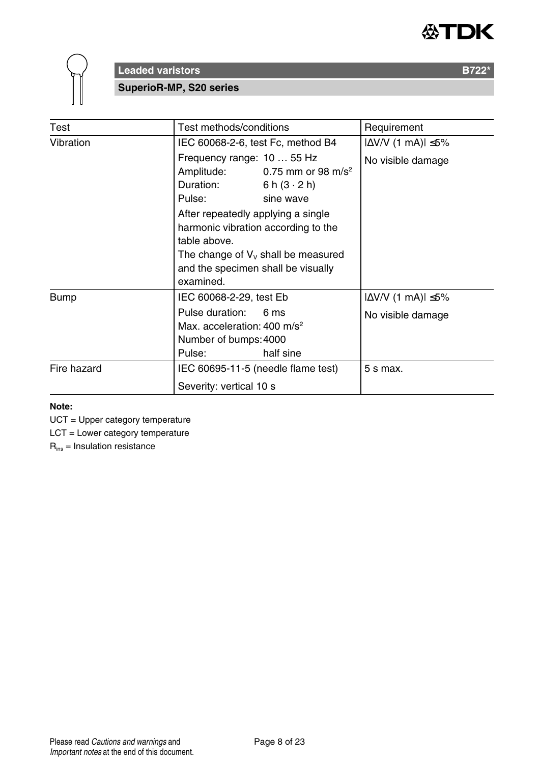



**SuperioR-MP, S20 series**

| Test        | Test methods/conditions                                                                                                                                                                                                                                                                                                         | Requirement                                           |
|-------------|---------------------------------------------------------------------------------------------------------------------------------------------------------------------------------------------------------------------------------------------------------------------------------------------------------------------------------|-------------------------------------------------------|
| Vibration   | IEC 60068-2-6, test Fc, method B4                                                                                                                                                                                                                                                                                               | $ \Delta$ V/V (1 mA) $ \leq$ 5%                       |
|             | Frequency range: 10  55 Hz<br>Amplitude:<br>0.75 mm or 98 m/s <sup>2</sup><br>Duration:<br>6 h $(3 \cdot 2)$ h)<br>Pulse:<br>sine wave<br>After repeatedly applying a single<br>harmonic vibration according to the<br>table above.<br>The change of $V_v$ shall be measured<br>and the specimen shall be visually<br>examined. | No visible damage                                     |
| <b>Bump</b> | IEC 60068-2-29, test Eb<br>Pulse duration:<br>6 ms<br>Max. acceleration: $400 \text{ m/s}^2$<br>Number of bumps: 4000<br>half sine<br>Pulse:                                                                                                                                                                                    | $ \Delta V/V$ (1 mA) $ \leq 5\%$<br>No visible damage |
| Fire hazard | IEC 60695-11-5 (needle flame test)<br>Severity: vertical 10 s                                                                                                                                                                                                                                                                   | 5 s max.                                              |

#### **Note:**

UCT = Upper category temperature

LCT = Lower category temperature

Rins = Insulation resistance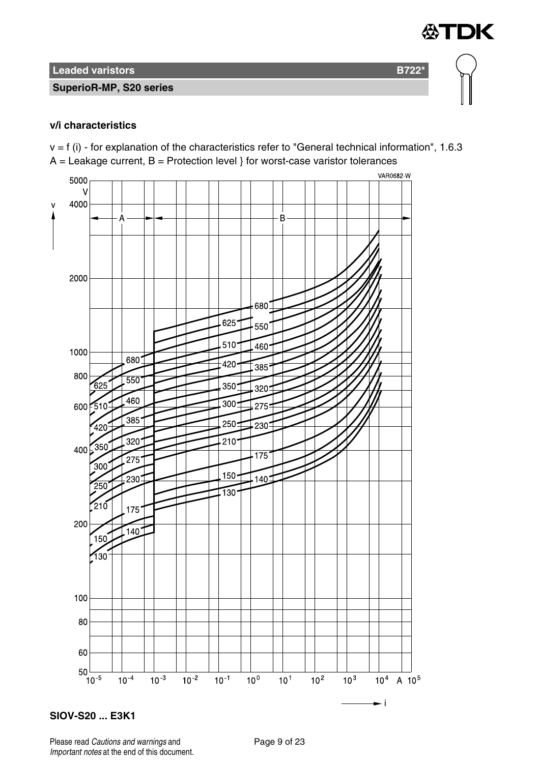#### **SuperioR-MP, S20 series**

#### **v/i characteristics**

 $v = f$  (i) - for explanation of the characteristics refer to "General technical information", 1.6.3  $A =$  Leakage current,  $B =$  Protection level } for worst-case varistor tolerances

≪TDK



**SIOV-S20 ... E3K1**

Please read Cautions and warnings and Page 9 of 23 Important notes at the end of this document.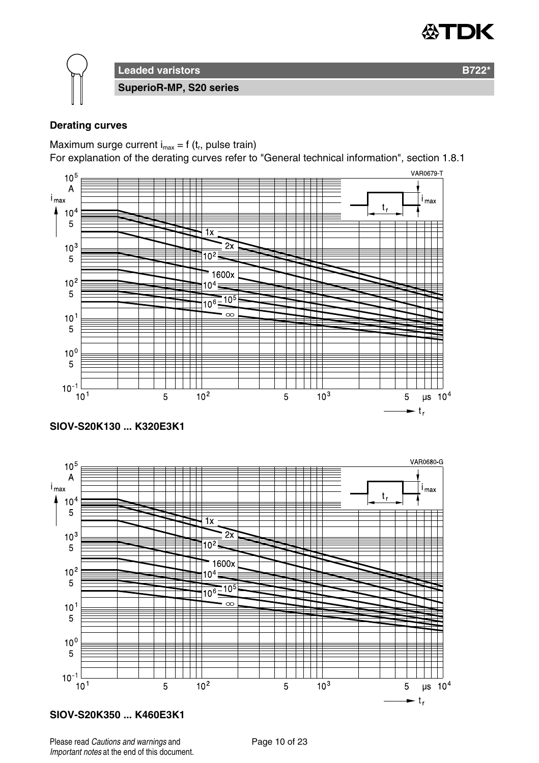

**Leaded varistors B722\* SuperioR-MP, S20 series**

#### **Derating curves**

Maximum surge current  $i_{max} = f(t_r)$ , pulse train)

For explanation of the derating curves refer to "General technical information", section 1.8.1



**SIOV-S20K130 ... K320E3K1**



#### **SIOV-S20K350 ... K460E3K1**

Please read Cautions and warnings and <br>
Page 10 of 23 Important notes at the end of this document.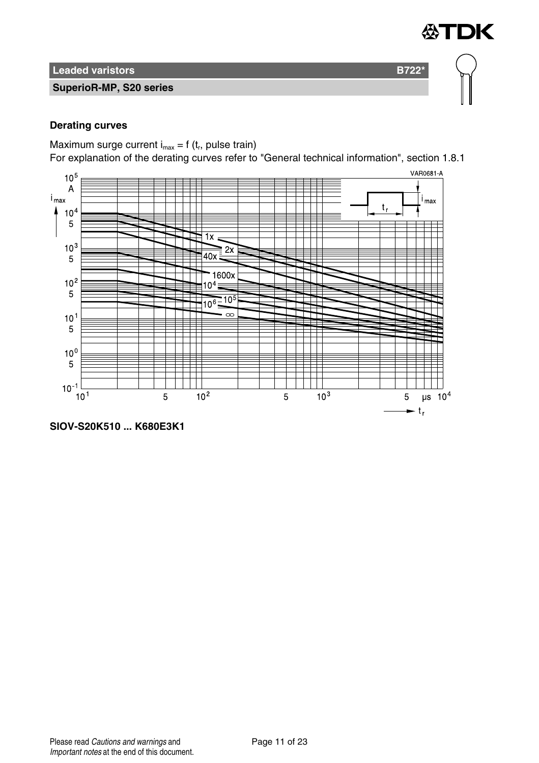

#### **SuperioR-MP, S20 series**

#### **Derating curves**

Maximum surge current  $i_{max} = f(t_r)$ , pulse train)

For explanation of the derating curves refer to "General technical information", section 1.8.1

≪TDK



**SIOV-S20K510 ... K680E3K1**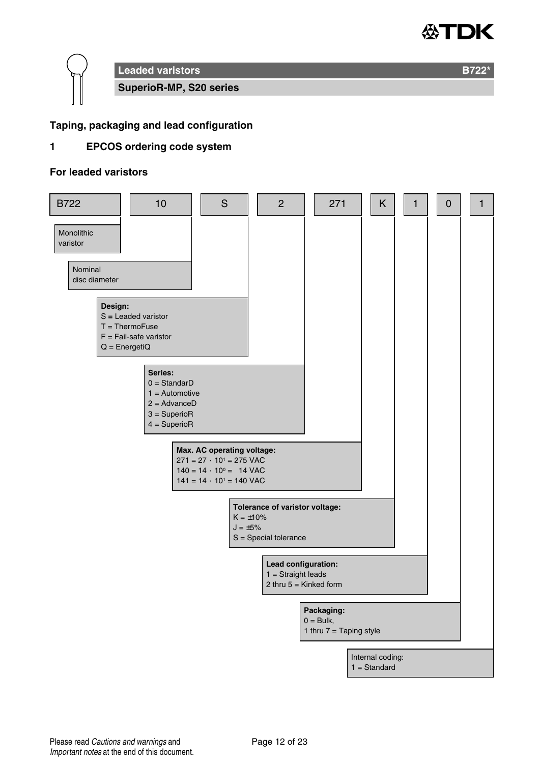

**Leaded varistors B722\* SuperioR-MP, S20 series**

#### **Taping, packaging and lead configuration**

#### **1 EPCOS ordering code system**

#### **For leaded varistors**

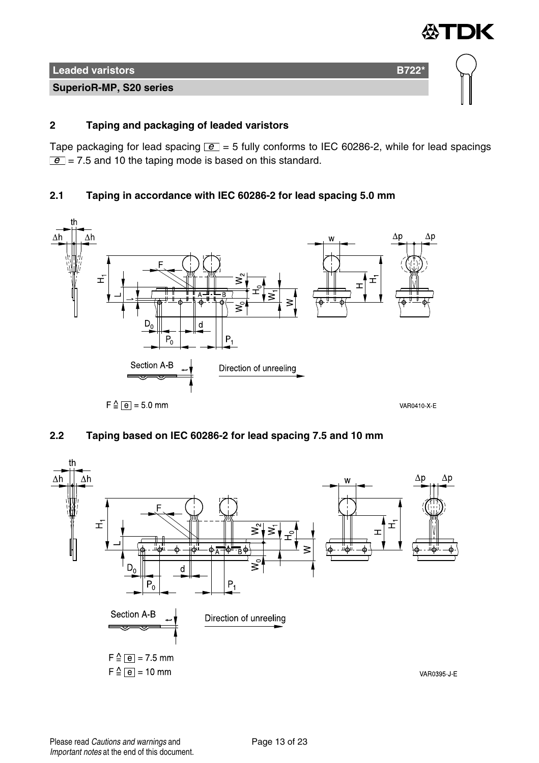

#### **2 Taping and packaging of leaded varistors**

Tape packaging for lead spacing  $\boxed{e}$  = 5 fully conforms to IEC 60286-2, while for lead spacings  $\boxed{e}$  = 7.5 and 10 the taping mode is based on this standard.

#### **2.1 Taping in accordance with IEC 60286-2 for lead spacing 5.0 mm**



#### **2.2 Taping based on IEC 60286-2 for lead spacing 7.5 and 10 mm**

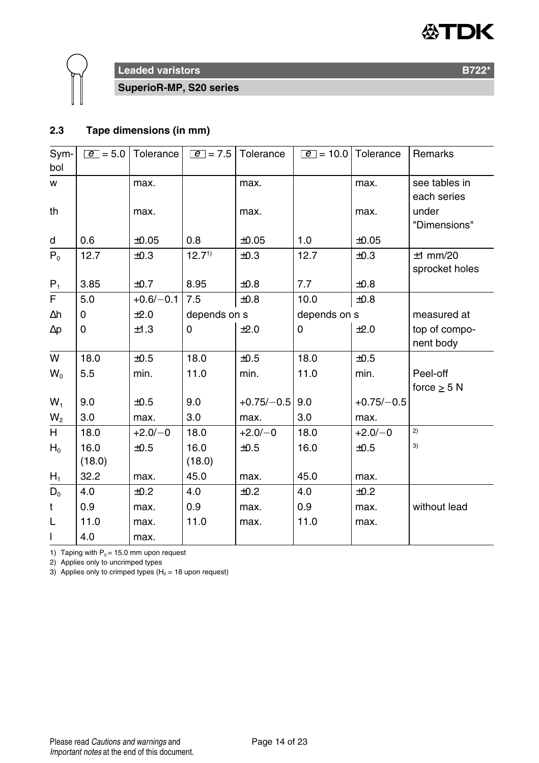



**SuperioR-MP, S20 series**

#### **2.3 Tape dimensions (in mm)**

| Sym-<br>bol | $ e  = 5.0$    | Tolerance   | $e$ = 7.5      | Tolerance    | $e = 10.0$   | Tolerance    | Remarks                      |
|-------------|----------------|-------------|----------------|--------------|--------------|--------------|------------------------------|
| w           |                | max.        |                | max.         |              | max.         | see tables in<br>each series |
| th          |                | max.        |                | max.         |              | max.         | under<br>"Dimensions"        |
| d           | 0.6            | ±0.05       | 0.8            | ±0.05        | 1.0          | ±0.05        |                              |
| $P_0$       | 12.7           | ±0.3        | $12.7^{1}$     | ±0.3         | 12.7         | ±0.3         | $±1$ mm/20<br>sprocket holes |
| $P_1$       | 3.85           | ±0.7        | 8.95           | ±0.8         | 7.7          | $\pm 0.8$    |                              |
| F           | 5.0            | $+0.6/-0.1$ | 7.5            | ±0.8         | 10.0         | ±0.8         |                              |
| Δh          | 0              | ±2.0        | depends on s   |              | depends on s |              | measured at                  |
| $\Delta p$  | 0              | ±1.3        | 0              | ±2.0         | 0            | ±2.0         | top of compo-<br>nent body   |
| W           | 18.0           | ±0.5        | 18.0           | ±0.5         | 18.0         | ±0.5         |                              |
| $W_{0}$     | 5.5            | min.        | 11.0           | min.         | 11.0         | min.         | Peel-off                     |
|             |                |             |                |              |              |              | force $\geq$ 5 N             |
| $W_1$       | 9.0            | ±0.5        | 9.0            | $+0.75/-0.5$ | 9.0          | $+0.75/-0.5$ |                              |
| $W_2$       | 3.0            | max.        | 3.0            | max.         | 3.0          | max.         |                              |
| H           | 18.0           | $+2.0/-0$   | 18.0           | $+2.0/-0$    | 18.0         | $+2.0/-0$    | 2)                           |
| $H_0$       | 16.0<br>(18.0) | ±0.5        | 16.0<br>(18.0) | ±0.5         | 16.0         | ±0.5         | 3)                           |
| $H_1$       | 32.2           | max.        | 45.0           | max.         | 45.0         | max.         |                              |
| $D_0$       | 4.0            | $+0.2$      | 4.0            | $+0.2$       | 4.0          | ±0.2         |                              |
| t           | 0.9            | max.        | 0.9            | max.         | 0.9          | max.         | without lead                 |
| L           | 11.0           | max.        | 11.0           | max.         | 11.0         | max.         |                              |
| I           | 4.0            | max.        |                |              |              |              |                              |

1) Taping with  $P_0 = 15.0$  mm upon request

2) Applies only to uncrimped types

3) Applies only to crimped types ( $H_0 = 18$  upon request)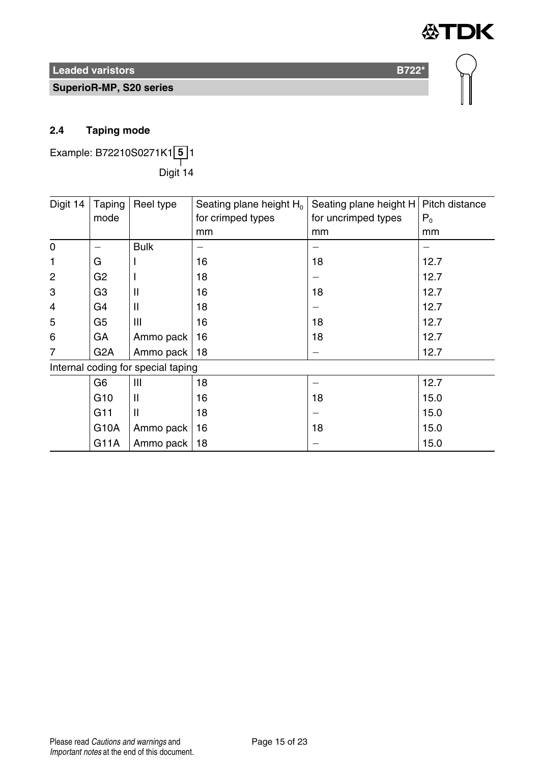**SuperioR-MP, S20 series**

#### **2.4 Taping mode**

Example: B72210S0271K1 **5** 1 ——<br>Digit 14

| Digit 14    | Taping           | Reel type                          | Seating plane height $H_0$ | Seating plane height H   Pitch distance |       |
|-------------|------------------|------------------------------------|----------------------------|-----------------------------------------|-------|
|             | mode             |                                    | for crimped types          | for uncrimped types                     | $P_0$ |
|             |                  |                                    | mm                         | mm                                      | mm    |
| $\mathbf 0$ |                  | <b>Bulk</b>                        |                            |                                         |       |
| 1           | G                |                                    | 16                         | 18                                      | 12.7  |
| 2           | G <sub>2</sub>   |                                    | 18                         |                                         | 12.7  |
| 3           | G3               | Ш                                  | 16                         | 18                                      | 12.7  |
| 4           | G4               | Ш                                  | 18                         |                                         | 12.7  |
| 5           | G <sub>5</sub>   | Ш                                  | 16                         | 18                                      | 12.7  |
| 6           | GА               | Ammo pack                          | 16                         | 18                                      | 12.7  |
| 7           | G <sub>2</sub> A | Ammo pack                          | 18                         |                                         | 12.7  |
|             |                  | Internal coding for special taping |                            |                                         |       |
|             | G6               | Ш                                  | 18                         |                                         | 12.7  |
|             | G <sub>10</sub>  | Ш                                  | 16                         | 18                                      | 15.0  |
|             | G11              | Ш                                  | 18                         |                                         | 15.0  |
|             | G10A             | Ammo pack                          | 16                         | 18                                      | 15.0  |
|             | G11A             | Ammo pack                          | 18                         |                                         | 15.0  |

**公TDK**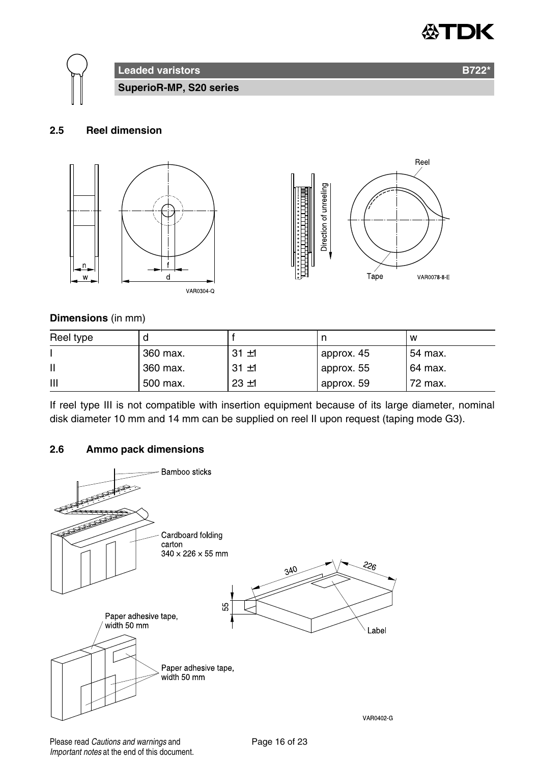



#### **2.5 Reel dimension**



#### **Dimensions** (in mm)

| Reel type |          |          |            | w       |
|-----------|----------|----------|------------|---------|
|           | 360 max. | $31 + 1$ | approx. 45 | 54 max. |
| Ш         | 360 max. | $31 + 1$ | approx. 55 | 64 max. |
| Ш         | 500 max. | $23 + 1$ | approx. 59 | 72 max. |

If reel type III is not compatible with insertion equipment because of its large diameter, nominal disk diameter 10 mm and 14 mm can be supplied on reel II upon request (taping mode G3).

#### **2.6 Ammo pack dimensions**



Please read Cautions and warnings and <br>
Page 16 of 23 Important notes at the end of this document.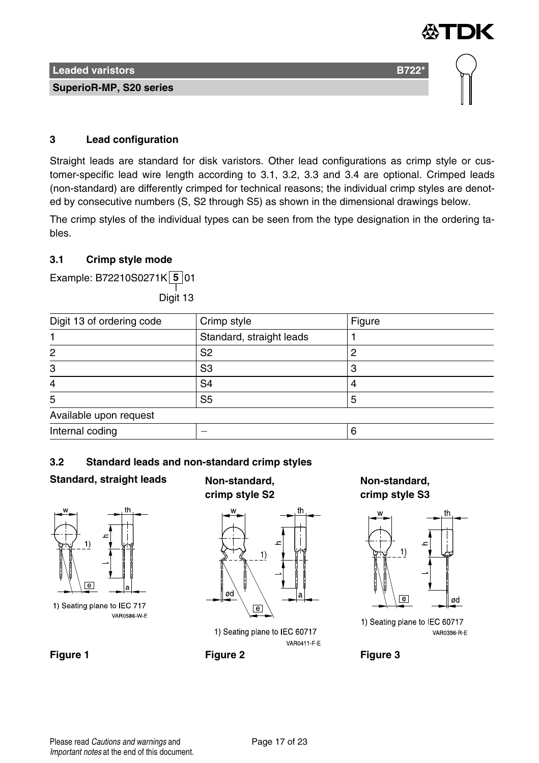

#### **3 Lead configuration**

Straight leads are standard for disk varistors. Other lead configurations as crimp style or customer-specific lead wire length according to 3.1, 3.2, 3.3 and 3.4 are optional. Crimped leads (non-standard) are differently crimped for technical reasons; the individual crimp styles are denoted by consecutive numbers (S, S2 through S5) as shown in the dimensional drawings below.

The crimp styles of the individual types can be seen from the type designation in the ordering tables.

#### **3.1 Crimp style mode**

Example: B72210S0271K **5** 01

——<br>Digit 13

| Digit 13 of ordering code | Crimp style              | Figure |
|---------------------------|--------------------------|--------|
|                           | Standard, straight leads |        |
| 2                         | S <sub>2</sub>           |        |
| 3                         | S3                       |        |
| 4                         | S <sub>4</sub>           |        |
| 5                         | S <sub>5</sub>           |        |
| Available upon request    |                          |        |
| Internal coding           |                          |        |

#### **3.2 Standard leads and non-standard crimp styles**

#### **Standard, straight leads Non-standard,**



1) Seating plane to IEC 717 VAR0586 W E

## **crimp style S2**



1) Seating plane to IEC 60717 **VAR0411 F E** 

**Figure 1 Figure 2 Figure 3**

**Non-standard, crimp style S3**



1) Seating plane to IEC 60717 VAR0396 R E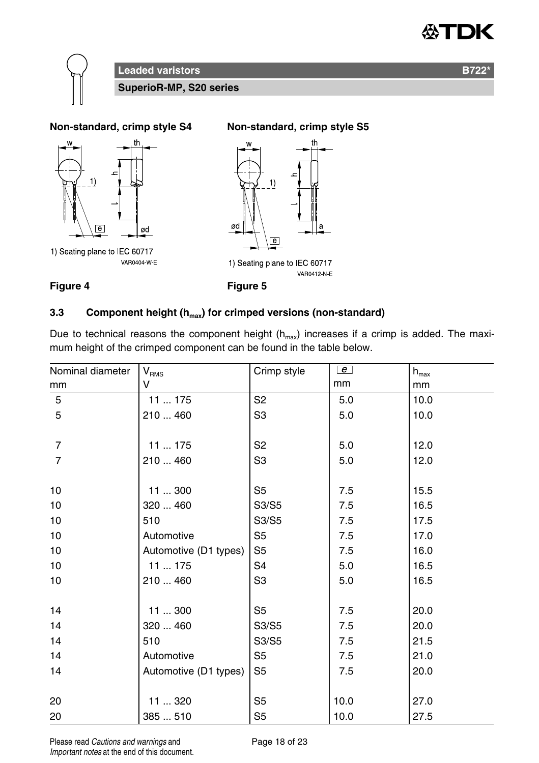





#### **3.3 Component height (hmax) for crimped versions (non-standard)**

Due to technical reasons the component height  $(h<sub>max</sub>)$  increases if a crimp is added. The maximum height of the crimped component can be found in the table below.

| Nominal diameter | V <sub>RMS</sub>      | Crimp style    | e    | $h_{\text{max}}$ |
|------------------|-----------------------|----------------|------|------------------|
| mm               | v                     |                | mm   | mm               |
| 5                | 11  175               | S <sub>2</sub> | 5.0  | 10.0             |
| 5                | 210  460              | S3             | 5.0  | 10.0             |
| $\overline{7}$   | 11  175               | S <sub>2</sub> | 5.0  | 12.0             |
| $\overline{7}$   | 210  460              | S3             | 5.0  | 12.0             |
| 10               | 11300                 | S5             | 7.5  | 15.5             |
| 10               | 320  460              | S3/S5          | 7.5  | 16.5             |
| 10               | 510                   | S3/S5          | 7.5  | 17.5             |
| 10               | Automotive            | S <sub>5</sub> | 7.5  | 17.0             |
| 10               | Automotive (D1 types) | S <sub>5</sub> | 7.5  | 16.0             |
| 10               | 11175                 | S <sub>4</sub> | 5.0  | 16.5             |
| 10               | 210  460              | S <sub>3</sub> | 5.0  | 16.5             |
| 14               | 11300                 | S <sub>5</sub> | 7.5  | 20.0             |
| 14               | 320  460              | S3/S5          | 7.5  | 20.0             |
| 14               | 510                   | S3/S5          | 7.5  | 21.5             |
| 14               | Automotive            | S5             | 7.5  | 21.0             |
| 14               | Automotive (D1 types) | S <sub>5</sub> | 7.5  | 20.0             |
| 20               | 11  320               | S <sub>5</sub> | 10.0 | 27.0             |
| 20               | 385510                | S <sub>5</sub> | 10.0 | 27.5             |

Please read Cautions and warnings and <br>
Page 18 of 23 Important notes at the end of this document.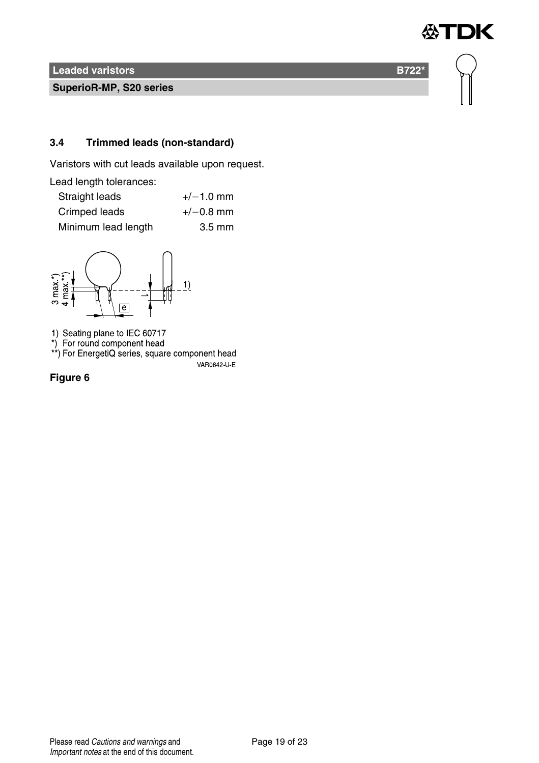**SuperioR-MP, S20 series**

#### **3.4 Trimmed leads (non-standard)**

Varistors with cut leads available upon request.

Lead length tolerances:

| Straight leads      | $+/-1.0$ mm      |
|---------------------|------------------|
| Crimped leads       | $+/-0.8$ mm      |
| Minimum lead length | $3.5 \text{ mm}$ |



1) Seating plane to IEC 60717<br>\*) For round component head<br>\*\*) For EnergetiQ series, square component head VAR0642 U E

**Figure 6**

Please read Cautions and warnings and <br>
Page 19 of 23 Important notes at the end of this document.

**DK** 

怂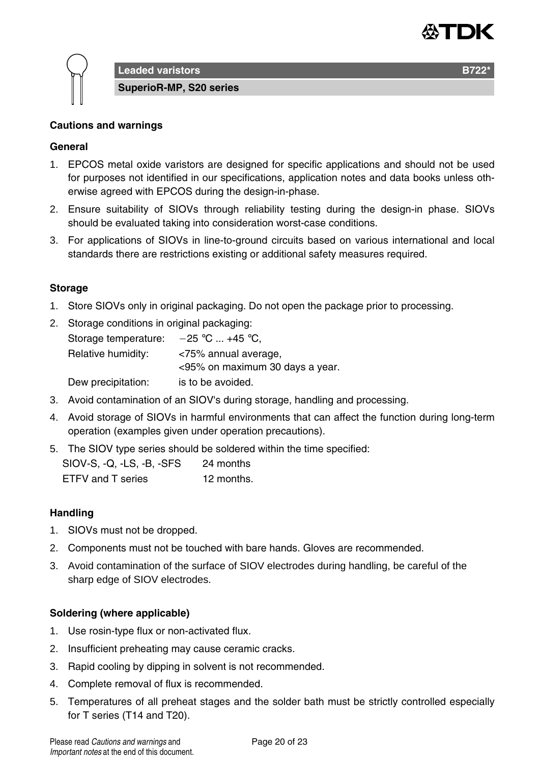

**Leaded varistors B722** 

**SuperioR-MP, S20 series**

#### **Cautions and warnings**

#### **General**

- 1. EPCOS metal oxide varistors are designed for specific applications and should not be used for purposes not identified in our specifications, application notes and data books unless otherwise agreed with EPCOS during the design-in-phase.
- 2. Ensure suitability of SIOVs through reliability testing during the design-in phase. SIOVs should be evaluated taking into consideration worst-case conditions.
- 3. For applications of SIOVs in line-to-ground circuits based on various international and local standards there are restrictions existing or additional safety measures required.

#### **Storage**

- 1. Store SIOVs only in original packaging. Do not open the package prior to processing.
- 2. Storage conditions in original packaging:

| Storage temperature: | $-25$ °C  +45 °C.               |
|----------------------|---------------------------------|
| Relative humidity:   | <75% annual average,            |
|                      | <95% on maximum 30 days a year. |
| Dew precipitation:   | is to be avoided.               |

- 3. Avoid contamination of an SIOV's during storage, handling and processing.
- 4. Avoid storage of SIOVs in harmful environments that can affect the function during long-term operation (examples given under operation precautions).
- 5. The SIOV type series should be soldered within the time specified:

| SIOV-S, Q, LS, B, SFS | 24 months  |
|-----------------------|------------|
| ETFV and T series     | 12 months. |

#### **Handling**

- 1. SIOVs must not be dropped.
- 2. Components must not be touched with bare hands. Gloves are recommended.
- 3. Avoid contamination of the surface of SIOV electrodes during handling, be careful of the sharp edge of SIOV electrodes.

#### **Soldering (where applicable)**

- 1. Use rosin-type flux or non-activated flux.
- 2. Insufficient preheating may cause ceramic cracks.
- 3. Rapid cooling by dipping in solvent is not recommended.
- 4. Complete removal of flux is recommended.
- 5. Temperatures of all preheat stages and the solder bath must be strictly controlled especially for T series (T14 and T20).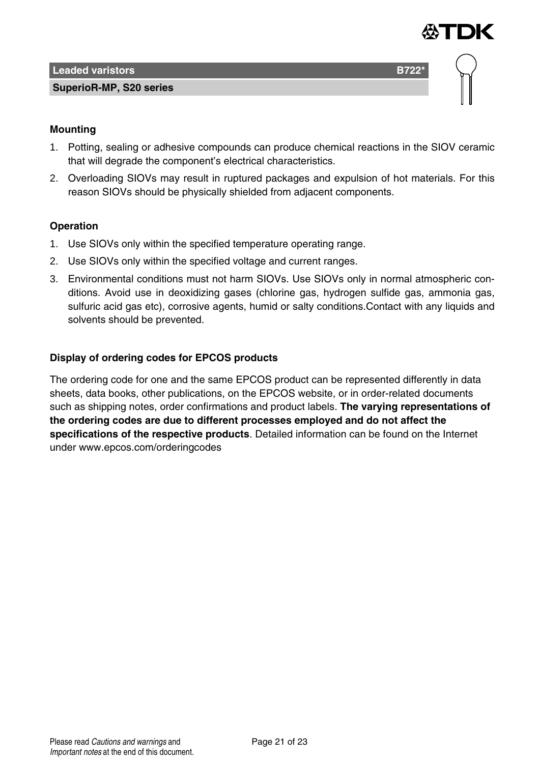

#### **SuperioR-MP, S20 series**



#### **Mounting**

- 1. Potting, sealing or adhesive compounds can produce chemical reactions in the SIOV ceramic that will degrade the component's electrical characteristics.
- 2. Overloading SIOVs may result in ruptured packages and expulsion of hot materials. For this reason SIOVs should be physically shielded from adjacent components.

#### **Operation**

- 1. Use SIOVs only within the specified temperature operating range.
- 2. Use SIOVs only within the specified voltage and current ranges.
- 3. Environmental conditions must not harm SIOVs. Use SIOVs only in normal atmospheric conditions. Avoid use in deoxidizing gases (chlorine gas, hydrogen sulfide gas, ammonia gas, sulfuric acid gas etc), corrosive agents, humid or salty conditions.Contact with any liquids and solvents should be prevented.

#### **Display of ordering codes for EPCOS products**

The ordering code for one and the same EPCOS product can be represented differently in data sheets, data books, other publications, on the EPCOS website, or in order-related documents such as shipping notes, order confirmations and product labels. **The varying representations of the ordering codes are due to different processes employed and do not affect the specifications of the respective products**. Detailed information can be found on the Internet under www.epcos.com/orderingcodes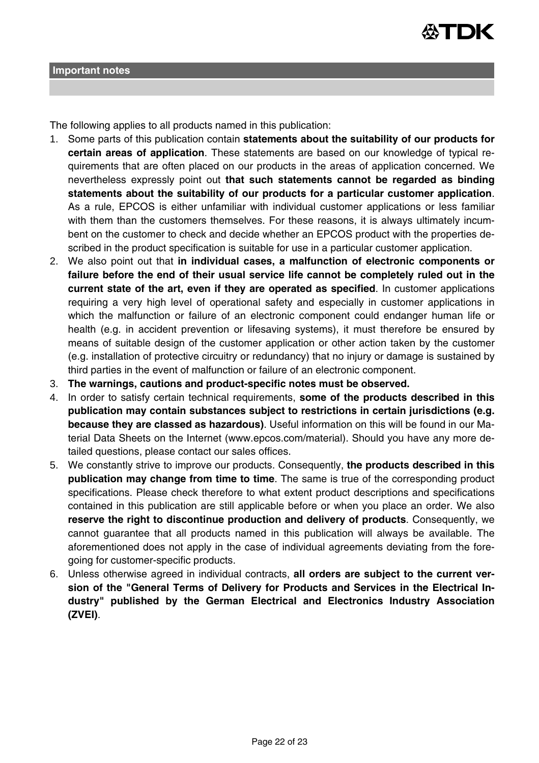

The following applies to all products named in this publication:

- 1. Some parts of this publication contain **statements about the suitability of our products for certain areas of application**. These statements are based on our knowledge of typical requirements that are often placed on our products in the areas of application concerned. We nevertheless expressly point out **that such statements cannot be regarded as binding statements about the suitability of our products for a particular customer application**. As a rule, EPCOS is either unfamiliar with individual customer applications or less familiar with them than the customers themselves. For these reasons, it is always ultimately incumbent on the customer to check and decide whether an EPCOS product with the properties described in the product specification is suitable for use in a particular customer application.
- 2. We also point out that **in individual cases, a malfunction of electronic components or failure before the end of their usual service life cannot be completely ruled out in the current state of the art, even if they are operated as specified**. In customer applications requiring a very high level of operational safety and especially in customer applications in which the malfunction or failure of an electronic component could endanger human life or health (e.g. in accident prevention or lifesaving systems), it must therefore be ensured by means of suitable design of the customer application or other action taken by the customer (e.g. installation of protective circuitry or redundancy) that no injury or damage is sustained by third parties in the event of malfunction or failure of an electronic component.
- 3. **The warnings, cautions and product-specific notes must be observed.**
- 4. In order to satisfy certain technical requirements, **some of the products described in this publication may contain substances subject to restrictions in certain jurisdictions (e.g. because they are classed as hazardous)**. Useful information on this will be found in our Material Data Sheets on the Internet (www.epcos.com/material). Should you have any more detailed questions, please contact our sales offices.
- 5. We constantly strive to improve our products. Consequently, **the products described in this publication may change from time to time**. The same is true of the corresponding product specifications. Please check therefore to what extent product descriptions and specifications contained in this publication are still applicable before or when you place an order. We also **reserve the right to discontinue production and delivery of products**. Consequently, we cannot guarantee that all products named in this publication will always be available. The aforementioned does not apply in the case of individual agreements deviating from the foregoing for customer-specific products.
- 6. Unless otherwise agreed in individual contracts, **all orders are subject to the current version of the "General Terms of Delivery for Products and Services in the Electrical Industry" published by the German Electrical and Electronics Industry Association (ZVEI)**.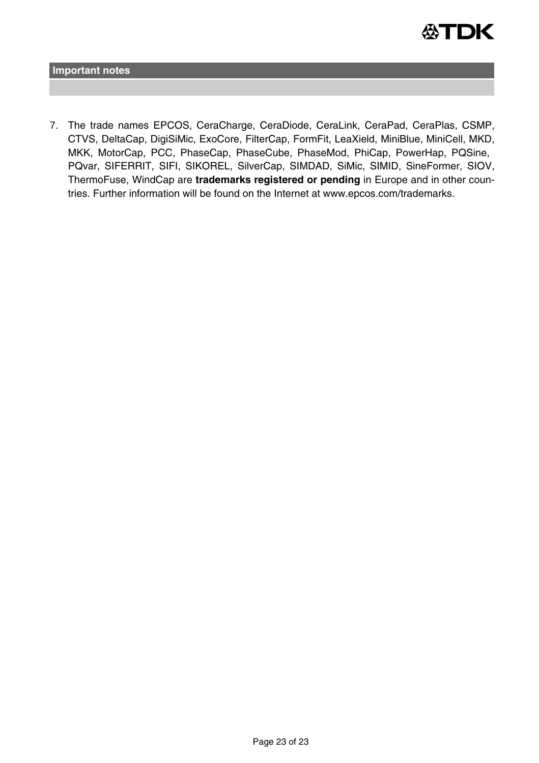

**Important notes**

7. The trade names EPCOS, CeraCharge, CeraDiode, CeraLink, CeraPad, CeraPlas, CSMP, CTVS, DeltaCap, DigiSiMic, ExoCore, FilterCap, FormFit, LeaXield, MiniBlue, MiniCell, MKD, MKK, MotorCap, PCC, PhaseCap, PhaseCube, PhaseMod, PhiCap, PowerHap, PQSine, PQvar, SIFERRIT, SIFI, SIKOREL, SilverCap, SIMDAD, SiMic, SIMID, SineFormer, SIOV, ThermoFuse, WindCap are **trademarks registered or pending** in Europe and in other countries. Further information will be found on the Internet at www.epcos.com/trademarks.